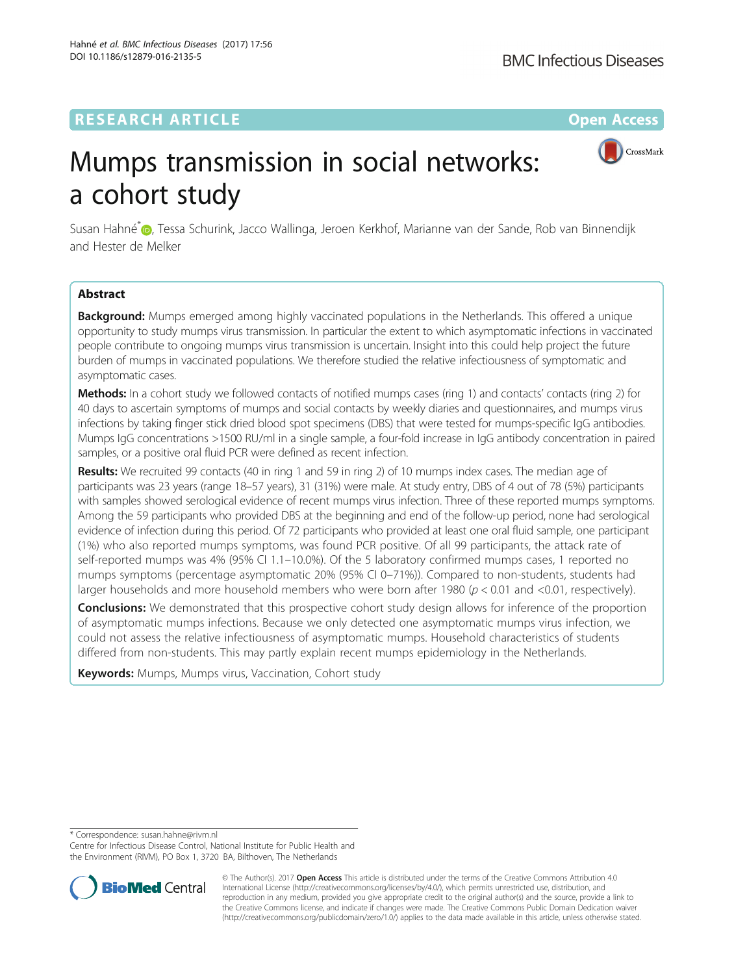## **RESEARCH ARTICLE Example 2014 12:30 The Contract of Contract ACCESS**



# Mumps transmission in social networks: a cohort study

Susan Hahné<sup>[\\*](http://orcid.org/0000-0003-1869-5616)</sup> , Tessa Schurink, Jacco Wallinga, Jeroen Kerkhof, Marianne van der Sande, Rob van Binnendijk and Hester de Melker

## Abstract

**Background:** Mumps emerged among highly vaccinated populations in the Netherlands. This offered a unique opportunity to study mumps virus transmission. In particular the extent to which asymptomatic infections in vaccinated people contribute to ongoing mumps virus transmission is uncertain. Insight into this could help project the future burden of mumps in vaccinated populations. We therefore studied the relative infectiousness of symptomatic and asymptomatic cases.

Methods: In a cohort study we followed contacts of notified mumps cases (ring 1) and contacts' contacts (ring 2) for 40 days to ascertain symptoms of mumps and social contacts by weekly diaries and questionnaires, and mumps virus infections by taking finger stick dried blood spot specimens (DBS) that were tested for mumps-specific IgG antibodies. Mumps IgG concentrations >1500 RU/ml in a single sample, a four-fold increase in IgG antibody concentration in paired samples, or a positive oral fluid PCR were defined as recent infection.

Results: We recruited 99 contacts (40 in ring 1 and 59 in ring 2) of 10 mumps index cases. The median age of participants was 23 years (range 18–57 years), 31 (31%) were male. At study entry, DBS of 4 out of 78 (5%) participants with samples showed serological evidence of recent mumps virus infection. Three of these reported mumps symptoms. Among the 59 participants who provided DBS at the beginning and end of the follow-up period, none had serological evidence of infection during this period. Of 72 participants who provided at least one oral fluid sample, one participant (1%) who also reported mumps symptoms, was found PCR positive. Of all 99 participants, the attack rate of self-reported mumps was 4% (95% CI 1.1–10.0%). Of the 5 laboratory confirmed mumps cases, 1 reported no mumps symptoms (percentage asymptomatic 20% (95% CI 0–71%)). Compared to non-students, students had larger households and more household members who were born after 1980 ( $p < 0.01$  and <0.01, respectively).

**Conclusions:** We demonstrated that this prospective cohort study design allows for inference of the proportion of asymptomatic mumps infections. Because we only detected one asymptomatic mumps virus infection, we could not assess the relative infectiousness of asymptomatic mumps. Household characteristics of students differed from non-students. This may partly explain recent mumps epidemiology in the Netherlands.

Keywords: Mumps, Mumps virus, Vaccination, Cohort study

\* Correspondence: [susan.hahne@rivm.nl](mailto:susan.hahne@rivm.nl)

Centre for Infectious Disease Control, National Institute for Public Health and the Environment (RIVM), PO Box 1, 3720 BA, Bilthoven, The Netherlands



© The Author(s). 2017 **Open Access** This article is distributed under the terms of the Creative Commons Attribution 4.0 International License [\(http://creativecommons.org/licenses/by/4.0/](http://creativecommons.org/licenses/by/4.0/)), which permits unrestricted use, distribution, and reproduction in any medium, provided you give appropriate credit to the original author(s) and the source, provide a link to the Creative Commons license, and indicate if changes were made. The Creative Commons Public Domain Dedication waiver [\(http://creativecommons.org/publicdomain/zero/1.0/](http://creativecommons.org/publicdomain/zero/1.0/)) applies to the data made available in this article, unless otherwise stated.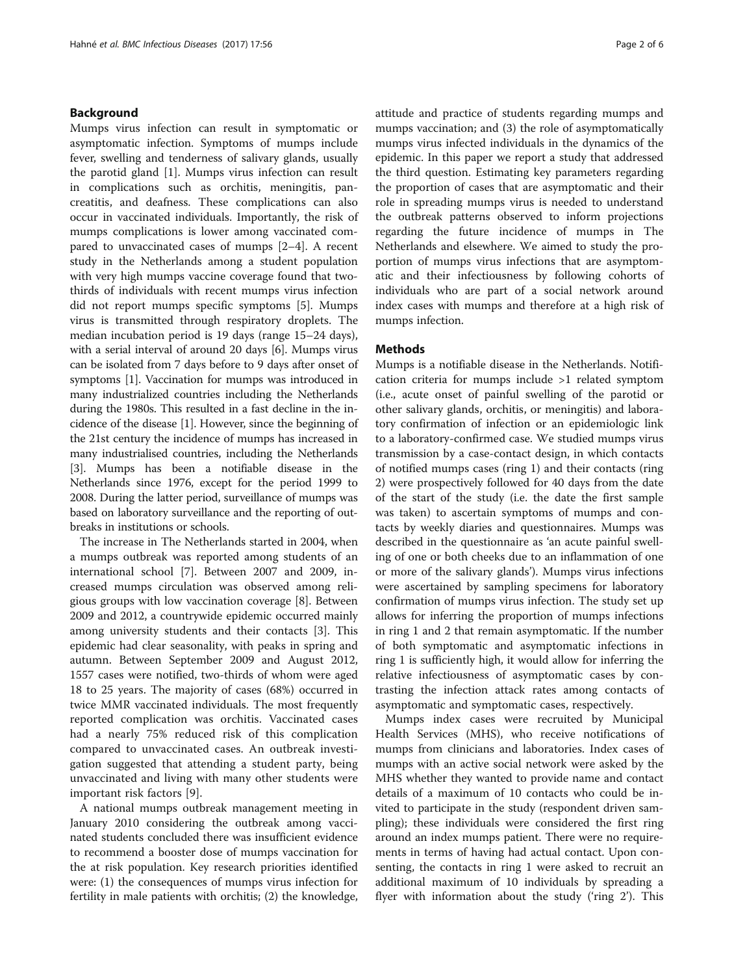## Background

Mumps virus infection can result in symptomatic or asymptomatic infection. Symptoms of mumps include fever, swelling and tenderness of salivary glands, usually the parotid gland [\[1](#page-4-0)]. Mumps virus infection can result in complications such as orchitis, meningitis, pancreatitis, and deafness. These complications can also occur in vaccinated individuals. Importantly, the risk of mumps complications is lower among vaccinated compared to unvaccinated cases of mumps [[2](#page-4-0)–[4\]](#page-4-0). A recent study in the Netherlands among a student population with very high mumps vaccine coverage found that twothirds of individuals with recent mumps virus infection did not report mumps specific symptoms [[5\]](#page-4-0). Mumps virus is transmitted through respiratory droplets. The median incubation period is 19 days (range 15–24 days), with a serial interval of around 20 days [\[6](#page-5-0)]. Mumps virus can be isolated from 7 days before to 9 days after onset of symptoms [\[1](#page-4-0)]. Vaccination for mumps was introduced in many industrialized countries including the Netherlands during the 1980s. This resulted in a fast decline in the incidence of the disease [\[1](#page-4-0)]. However, since the beginning of the 21st century the incidence of mumps has increased in many industrialised countries, including the Netherlands [[3\]](#page-4-0). Mumps has been a notifiable disease in the Netherlands since 1976, except for the period 1999 to 2008. During the latter period, surveillance of mumps was based on laboratory surveillance and the reporting of outbreaks in institutions or schools.

The increase in The Netherlands started in 2004, when a mumps outbreak was reported among students of an international school [[7\]](#page-5-0). Between 2007 and 2009, increased mumps circulation was observed among religious groups with low vaccination coverage [[8\]](#page-5-0). Between 2009 and 2012, a countrywide epidemic occurred mainly among university students and their contacts [[3](#page-4-0)]. This epidemic had clear seasonality, with peaks in spring and autumn. Between September 2009 and August 2012, 1557 cases were notified, two-thirds of whom were aged 18 to 25 years. The majority of cases (68%) occurred in twice MMR vaccinated individuals. The most frequently reported complication was orchitis. Vaccinated cases had a nearly 75% reduced risk of this complication compared to unvaccinated cases. An outbreak investigation suggested that attending a student party, being unvaccinated and living with many other students were important risk factors [[9\]](#page-5-0).

A national mumps outbreak management meeting in January 2010 considering the outbreak among vaccinated students concluded there was insufficient evidence to recommend a booster dose of mumps vaccination for the at risk population. Key research priorities identified were: (1) the consequences of mumps virus infection for fertility in male patients with orchitis; (2) the knowledge, attitude and practice of students regarding mumps and mumps vaccination; and (3) the role of asymptomatically mumps virus infected individuals in the dynamics of the epidemic. In this paper we report a study that addressed the third question. Estimating key parameters regarding the proportion of cases that are asymptomatic and their role in spreading mumps virus is needed to understand the outbreak patterns observed to inform projections regarding the future incidence of mumps in The Netherlands and elsewhere. We aimed to study the proportion of mumps virus infections that are asymptomatic and their infectiousness by following cohorts of individuals who are part of a social network around index cases with mumps and therefore at a high risk of mumps infection.

## Methods

Mumps is a notifiable disease in the Netherlands. Notification criteria for mumps include >1 related symptom (i.e., acute onset of painful swelling of the parotid or other salivary glands, orchitis, or meningitis) and laboratory confirmation of infection or an epidemiologic link to a laboratory-confirmed case. We studied mumps virus transmission by a case-contact design, in which contacts of notified mumps cases (ring 1) and their contacts (ring 2) were prospectively followed for 40 days from the date of the start of the study (i.e. the date the first sample was taken) to ascertain symptoms of mumps and contacts by weekly diaries and questionnaires. Mumps was described in the questionnaire as 'an acute painful swelling of one or both cheeks due to an inflammation of one or more of the salivary glands'). Mumps virus infections were ascertained by sampling specimens for laboratory confirmation of mumps virus infection. The study set up allows for inferring the proportion of mumps infections in ring 1 and 2 that remain asymptomatic. If the number of both symptomatic and asymptomatic infections in ring 1 is sufficiently high, it would allow for inferring the relative infectiousness of asymptomatic cases by contrasting the infection attack rates among contacts of asymptomatic and symptomatic cases, respectively.

Mumps index cases were recruited by Municipal Health Services (MHS), who receive notifications of mumps from clinicians and laboratories. Index cases of mumps with an active social network were asked by the MHS whether they wanted to provide name and contact details of a maximum of 10 contacts who could be invited to participate in the study (respondent driven sampling); these individuals were considered the first ring around an index mumps patient. There were no requirements in terms of having had actual contact. Upon consenting, the contacts in ring 1 were asked to recruit an additional maximum of 10 individuals by spreading a flyer with information about the study ('ring 2'). This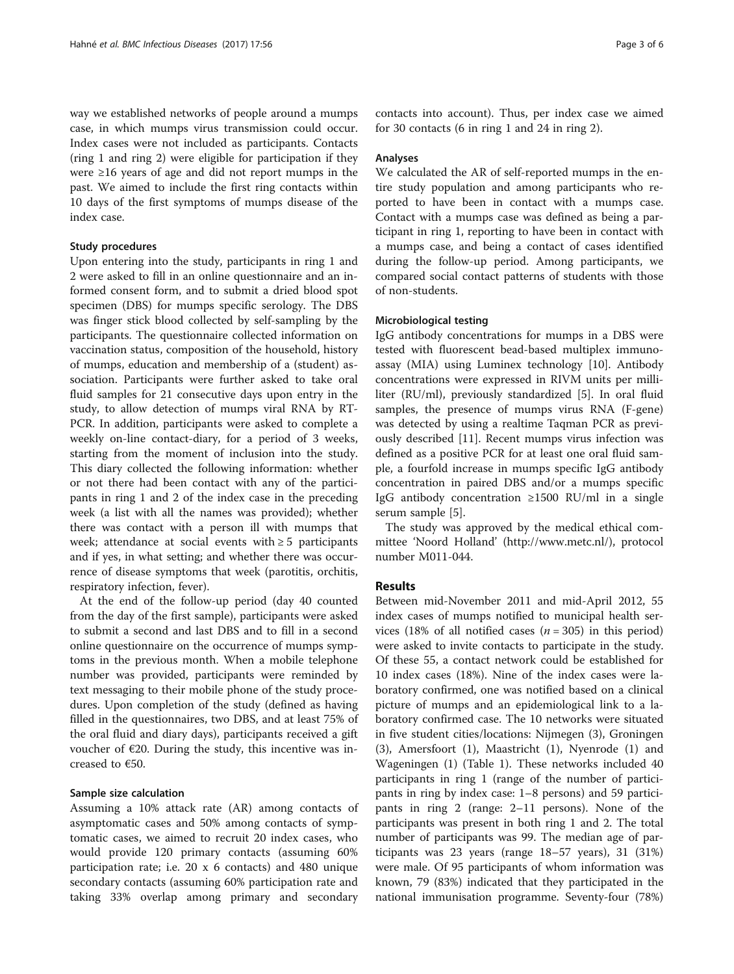way we established networks of people around a mumps case, in which mumps virus transmission could occur. Index cases were not included as participants. Contacts (ring 1 and ring 2) were eligible for participation if they were ≥16 years of age and did not report mumps in the past. We aimed to include the first ring contacts within 10 days of the first symptoms of mumps disease of the index case.

## Study procedures

Upon entering into the study, participants in ring 1 and 2 were asked to fill in an online questionnaire and an informed consent form, and to submit a dried blood spot specimen (DBS) for mumps specific serology. The DBS was finger stick blood collected by self-sampling by the participants. The questionnaire collected information on vaccination status, composition of the household, history of mumps, education and membership of a (student) association. Participants were further asked to take oral fluid samples for 21 consecutive days upon entry in the study, to allow detection of mumps viral RNA by RT-PCR. In addition, participants were asked to complete a weekly on-line contact-diary, for a period of 3 weeks, starting from the moment of inclusion into the study. This diary collected the following information: whether or not there had been contact with any of the participants in ring 1 and 2 of the index case in the preceding week (a list with all the names was provided); whether there was contact with a person ill with mumps that week; attendance at social events with  $\geq 5$  participants and if yes, in what setting; and whether there was occurrence of disease symptoms that week (parotitis, orchitis, respiratory infection, fever).

At the end of the follow-up period (day 40 counted from the day of the first sample), participants were asked to submit a second and last DBS and to fill in a second online questionnaire on the occurrence of mumps symptoms in the previous month. When a mobile telephone number was provided, participants were reminded by text messaging to their mobile phone of the study procedures. Upon completion of the study (defined as having filled in the questionnaires, two DBS, and at least 75% of the oral fluid and diary days), participants received a gift voucher of  $E20$ . During the study, this incentive was increased to €50.

## Sample size calculation

Assuming a 10% attack rate (AR) among contacts of asymptomatic cases and 50% among contacts of symptomatic cases, we aimed to recruit 20 index cases, who would provide 120 primary contacts (assuming 60% participation rate; i.e. 20 x 6 contacts) and 480 unique secondary contacts (assuming 60% participation rate and taking 33% overlap among primary and secondary

contacts into account). Thus, per index case we aimed for 30 contacts (6 in ring 1 and 24 in ring 2).

## Analyses

We calculated the AR of self-reported mumps in the entire study population and among participants who reported to have been in contact with a mumps case. Contact with a mumps case was defined as being a participant in ring 1, reporting to have been in contact with a mumps case, and being a contact of cases identified during the follow-up period. Among participants, we compared social contact patterns of students with those of non-students.

## Microbiological testing

IgG antibody concentrations for mumps in a DBS were tested with fluorescent bead-based multiplex immunoassay (MIA) using Luminex technology [[10\]](#page-5-0). Antibody concentrations were expressed in RIVM units per milliliter (RU/ml), previously standardized [[5\]](#page-4-0). In oral fluid samples, the presence of mumps virus RNA (F-gene) was detected by using a realtime Taqman PCR as previously described [\[11](#page-5-0)]. Recent mumps virus infection was defined as a positive PCR for at least one oral fluid sample, a fourfold increase in mumps specific IgG antibody concentration in paired DBS and/or a mumps specific IgG antibody concentration ≥1500 RU/ml in a single serum sample [[5\]](#page-4-0).

The study was approved by the medical ethical committee 'Noord Holland' [\(http://www.metc.nl/](http://www.metc.nl/)), protocol number M011-044.

## Results

Between mid-November 2011 and mid-April 2012, 55 index cases of mumps notified to municipal health services (18% of all notified cases ( $n = 305$ ) in this period) were asked to invite contacts to participate in the study. Of these 55, a contact network could be established for 10 index cases (18%). Nine of the index cases were laboratory confirmed, one was notified based on a clinical picture of mumps and an epidemiological link to a laboratory confirmed case. The 10 networks were situated in five student cities/locations: Nijmegen (3), Groningen (3), Amersfoort (1), Maastricht (1), Nyenrode (1) and Wageningen (1) (Table [1](#page-3-0)). These networks included 40 participants in ring 1 (range of the number of participants in ring by index case: 1–8 persons) and 59 participants in ring 2 (range: 2–11 persons). None of the participants was present in both ring 1 and 2. The total number of participants was 99. The median age of participants was 23 years (range 18–57 years), 31 (31%) were male. Of 95 participants of whom information was known, 79 (83%) indicated that they participated in the national immunisation programme. Seventy-four (78%)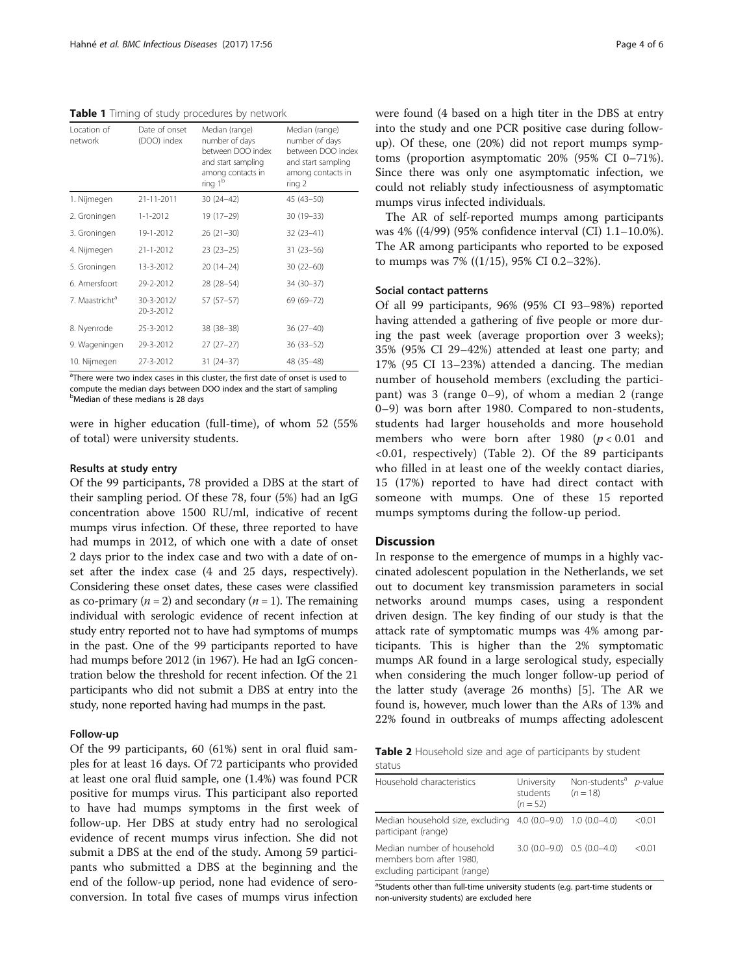<span id="page-3-0"></span>Table 1 Timing of study procedures by network

| Location of<br>network     | Date of onset<br>(DOO) index | Median (range)<br>number of days<br>between DOO index<br>and start sampling<br>among contacts in<br>ring 1 <sup>b</sup> | Median (range)<br>number of days<br>between DOO index<br>and start sampling<br>among contacts in<br>ring 2 |
|----------------------------|------------------------------|-------------------------------------------------------------------------------------------------------------------------|------------------------------------------------------------------------------------------------------------|
| 1. Nijmegen                | 21-11-2011                   | $30(24-42)$                                                                                                             | $45(43-50)$                                                                                                |
| 2. Groningen               | $1 - 1 - 2012$               | 19 (17-29)                                                                                                              | 30 (19-33)                                                                                                 |
| 3. Groningen               | 19-1-2012                    | $26(21-30)$                                                                                                             | $32(23-41)$                                                                                                |
| 4. Nijmegen                | 21-1-2012                    | $23(23-25)$                                                                                                             | $31(23 - 56)$                                                                                              |
| 5. Groningen               | 13-3-2012                    | 20 (14-24)                                                                                                              | $30(22 - 60)$                                                                                              |
| 6. Amersfoort              | 29-2-2012                    | 28 (28-54)                                                                                                              | 34 (30-37)                                                                                                 |
| 7. Maastricht <sup>a</sup> | 30-3-2012/<br>20-3-2012      | 57 (57-57)                                                                                                              | 69 (69-72)                                                                                                 |
| 8. Nyenrode                | 25-3-2012                    | 38 (38-38)                                                                                                              | 36 (27-40)                                                                                                 |
| 9. Wageningen              | 29-3-2012                    | $27(27-27)$                                                                                                             | 36 (33-52)                                                                                                 |
| 10. Nijmegen               | 27-3-2012                    | $31(24-37)$                                                                                                             | 48 (35-48)                                                                                                 |

<sup>a</sup>There were two index cases in this cluster, the first date of onset is used to compute the median days between DOO index and the start of sampling **b**Median of these medians is 28 days

were in higher education (full-time), of whom 52 (55% of total) were university students.

## Results at study entry

Of the 99 participants, 78 provided a DBS at the start of their sampling period. Of these 78, four (5%) had an IgG concentration above 1500 RU/ml, indicative of recent mumps virus infection. Of these, three reported to have had mumps in 2012, of which one with a date of onset 2 days prior to the index case and two with a date of onset after the index case (4 and 25 days, respectively). Considering these onset dates, these cases were classified as co-primary ( $n = 2$ ) and secondary ( $n = 1$ ). The remaining individual with serologic evidence of recent infection at study entry reported not to have had symptoms of mumps in the past. One of the 99 participants reported to have had mumps before 2012 (in 1967). He had an IgG concentration below the threshold for recent infection. Of the 21 participants who did not submit a DBS at entry into the study, none reported having had mumps in the past.

## Follow-up

Of the 99 participants, 60 (61%) sent in oral fluid samples for at least 16 days. Of 72 participants who provided at least one oral fluid sample, one (1.4%) was found PCR positive for mumps virus. This participant also reported to have had mumps symptoms in the first week of follow-up. Her DBS at study entry had no serological evidence of recent mumps virus infection. She did not submit a DBS at the end of the study. Among 59 participants who submitted a DBS at the beginning and the end of the follow-up period, none had evidence of seroconversion. In total five cases of mumps virus infection were found (4 based on a high titer in the DBS at entry into the study and one PCR positive case during followup). Of these, one (20%) did not report mumps symptoms (proportion asymptomatic 20% (95% CI 0–71%). Since there was only one asymptomatic infection, we could not reliably study infectiousness of asymptomatic mumps virus infected individuals.

The AR of self-reported mumps among participants was 4% ((4/99) (95% confidence interval (CI) 1.1–10.0%). The AR among participants who reported to be exposed to mumps was 7% ((1/15), 95% CI 0.2–32%).

#### Social contact patterns

Of all 99 participants, 96% (95% CI 93–98%) reported having attended a gathering of five people or more during the past week (average proportion over 3 weeks); 35% (95% CI 29–42%) attended at least one party; and 17% (95 CI 13–23%) attended a dancing. The median number of household members (excluding the participant) was 3 (range 0–9), of whom a median 2 (range 0–9) was born after 1980. Compared to non-students, students had larger households and more household members who were born after 1980 ( $p < 0.01$  and <0.01, respectively) (Table 2). Of the 89 participants who filled in at least one of the weekly contact diaries, 15 (17%) reported to have had direct contact with someone with mumps. One of these 15 reported mumps symptoms during the follow-up period.

## **Discussion**

In response to the emergence of mumps in a highly vaccinated adolescent population in the Netherlands, we set out to document key transmission parameters in social networks around mumps cases, using a respondent driven design. The key finding of our study is that the attack rate of symptomatic mumps was 4% among participants. This is higher than the 2% symptomatic mumps AR found in a large serological study, especially when considering the much longer follow-up period of the latter study (average 26 months) [\[5](#page-4-0)]. The AR we found is, however, much lower than the ARs of 13% and 22% found in outbreaks of mumps affecting adolescent

| <b>Table 2</b> Household size and age of participants by student |  |  |  |  |
|------------------------------------------------------------------|--|--|--|--|
| status                                                           |  |  |  |  |

| Household characteristics                                                               | University<br>students<br>$(n=52)$ | Non-students <sup>a</sup> p-value<br>$(n = 18)$ |        |
|-----------------------------------------------------------------------------------------|------------------------------------|-------------------------------------------------|--------|
| Median household size, excluding 4.0 (0.0-9.0) 1.0 (0.0-4.0)<br>participant (range)     |                                    |                                                 | < 0.01 |
| Median number of household<br>members born after 1980,<br>excluding participant (range) |                                    | $3.0(0.0-9.0)$ $0.5(0.0-4.0)$                   | < 0.01 |

<sup>a</sup>Students other than full-time university students (e.g. part-time students or non-university students) are excluded here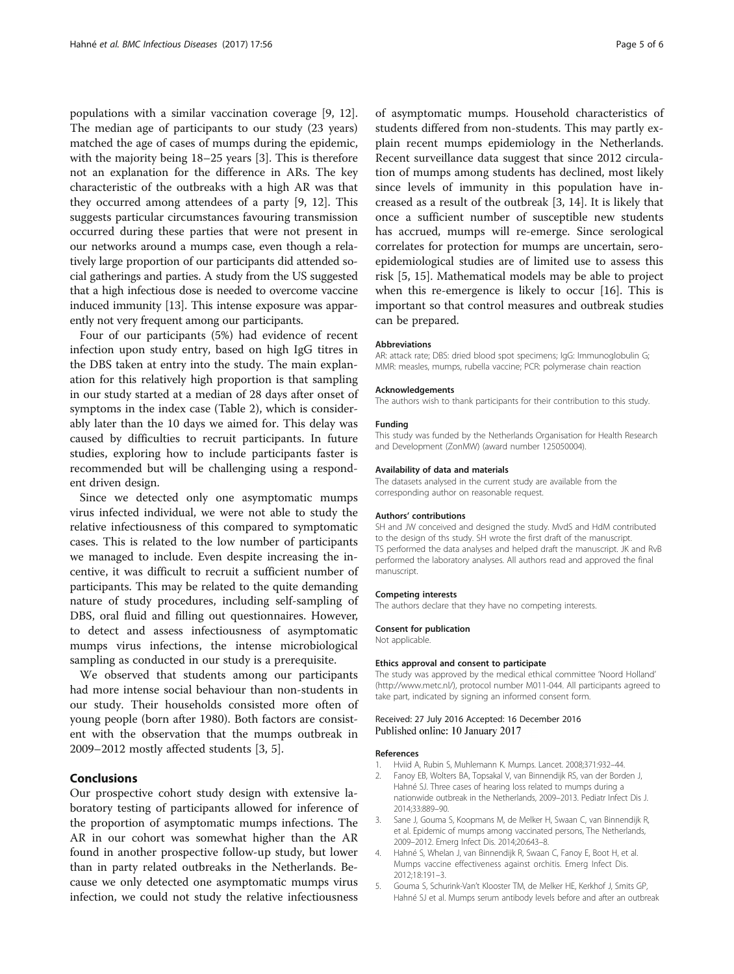<span id="page-4-0"></span>populations with a similar vaccination coverage [\[9](#page-5-0), [12](#page-5-0)]. The median age of participants to our study (23 years) matched the age of cases of mumps during the epidemic, with the majority being 18–25 years [3]. This is therefore not an explanation for the difference in ARs. The key characteristic of the outbreaks with a high AR was that they occurred among attendees of a party [[9, 12\]](#page-5-0). This suggests particular circumstances favouring transmission occurred during these parties that were not present in our networks around a mumps case, even though a relatively large proportion of our participants did attended social gatherings and parties. A study from the US suggested that a high infectious dose is needed to overcome vaccine induced immunity [\[13\]](#page-5-0). This intense exposure was apparently not very frequent among our participants.

Four of our participants (5%) had evidence of recent infection upon study entry, based on high IgG titres in the DBS taken at entry into the study. The main explanation for this relatively high proportion is that sampling in our study started at a median of 28 days after onset of symptoms in the index case (Table [2](#page-3-0)), which is considerably later than the 10 days we aimed for. This delay was caused by difficulties to recruit participants. In future studies, exploring how to include participants faster is recommended but will be challenging using a respondent driven design.

Since we detected only one asymptomatic mumps virus infected individual, we were not able to study the relative infectiousness of this compared to symptomatic cases. This is related to the low number of participants we managed to include. Even despite increasing the incentive, it was difficult to recruit a sufficient number of participants. This may be related to the quite demanding nature of study procedures, including self-sampling of DBS, oral fluid and filling out questionnaires. However, to detect and assess infectiousness of asymptomatic mumps virus infections, the intense microbiological sampling as conducted in our study is a prerequisite.

We observed that students among our participants had more intense social behaviour than non-students in our study. Their households consisted more often of young people (born after 1980). Both factors are consistent with the observation that the mumps outbreak in 2009–2012 mostly affected students [3, 5].

## Conclusions

Our prospective cohort study design with extensive laboratory testing of participants allowed for inference of the proportion of asymptomatic mumps infections. The AR in our cohort was somewhat higher than the AR found in another prospective follow-up study, but lower than in party related outbreaks in the Netherlands. Because we only detected one asymptomatic mumps virus infection, we could not study the relative infectiousness

of asymptomatic mumps. Household characteristics of students differed from non-students. This may partly explain recent mumps epidemiology in the Netherlands. Recent surveillance data suggest that since 2012 circulation of mumps among students has declined, most likely since levels of immunity in this population have increased as a result of the outbreak [3, [14](#page-5-0)]. It is likely that once a sufficient number of susceptible new students has accrued, mumps will re-emerge. Since serological correlates for protection for mumps are uncertain, seroepidemiological studies are of limited use to assess this risk [5, [15](#page-5-0)]. Mathematical models may be able to project when this re-emergence is likely to occur [\[16\]](#page-5-0). This is important so that control measures and outbreak studies can be prepared.

#### Abbreviations

AR: attack rate; DBS: dried blood spot specimens; IgG: Immunoglobulin G; MMR: measles, mumps, rubella vaccine; PCR: polymerase chain reaction

#### Acknowledgements

The authors wish to thank participants for their contribution to this study.

#### Funding

This study was funded by the Netherlands Organisation for Health Research and Development (ZonMW) (award number 125050004).

#### Availability of data and materials

The datasets analysed in the current study are available from the corresponding author on reasonable request.

#### Authors' contributions

SH and JW conceived and designed the study. MvdS and HdM contributed to the design of ths study. SH wrote the first draft of the manuscript. TS performed the data analyses and helped draft the manuscript. JK and RvB performed the laboratory analyses. All authors read and approved the final manuscript.

#### Competing interests

The authors declare that they have no competing interests.

#### Consent for publication

Not applicable.

#### Ethics approval and consent to participate

The study was approved by the medical ethical committee 'Noord Holland' ([http://www.metc.nl/\)](http://www.metc.nl/), protocol number M011-044. All participants agreed to take part, indicated by signing an informed consent form.

## Received: 27 July 2016 Accepted: 16 December 2016 Published online: 10 January 2017

### References

- 1. Hviid A, Rubin S, Muhlemann K. Mumps. Lancet. 2008;371:932–44.
- 2. Fanoy EB, Wolters BA, Topsakal V, van Binnendijk RS, van der Borden J, Hahné SJ. Three cases of hearing loss related to mumps during a nationwide outbreak in the Netherlands, 2009–2013. Pediatr Infect Dis J. 2014;33:889–90.
- 3. Sane J, Gouma S, Koopmans M, de Melker H, Swaan C, van Binnendijk R, et al. Epidemic of mumps among vaccinated persons, The Netherlands, 2009–2012. Emerg Infect Dis. 2014;20:643–8.
- 4. Hahné S, Whelan J, van Binnendijk R, Swaan C, Fanoy E, Boot H, et al. Mumps vaccine effectiveness against orchitis. Emerg Infect Dis. 2012;18:191–3.
- 5. Gouma S, Schurink-Van't Klooster TM, de Melker HE, Kerkhof J, Smits GP, Hahné SJ et al. Mumps serum antibody levels before and after an outbreak